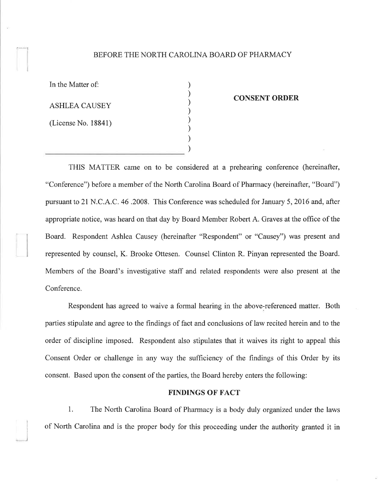## BEFORE THE NORTH CAROLINA BOARD OF PHARMACY

) ) ) ) ) ) ) )

In the Matter of:

r---J

)

ASHLEA CAUSEY

(License No. 18841)

#### CONSENT ORDER

THIS MATTER came on to be considered at a prehearing conference (hereinafter, "Conference") before a member of the North Carolina Board of Pharmacy (hereinafter, "Board") pursuant to 2l N.C.A .C. 46 .2008. This Conference was scheduled for January 5,2016 and, after appropriate notice, was heard on that day by Board Member Robert A. Graves at the office of the Board. Respondent Ashlea Causey (hereinafter "Respondent" or "Causey") was present and represented by counsel, K. Brooke Ottesen. Counsel Clinton R. Pinyan represented the Board. Members of the Board's investigative staff and related respondents were also present at the Conference.

Respondent has agreed to waive a formal hearing in the above-referenced matter. Both parties stipulate and agree to the findings of fact and conclusions of law recited herein and to the order of discipline imposed. Respondent also stipulates that it waives its right to appeal this Consent Order or challenge in any way the sufficiency of the findings of this Order by its consent. Based upon the consent of the parties, the Board hereby enters the following:

## FINDINGS OF FACT

1. The North Carolina Board of Pharmacy is a body duly organized under the laws of North Carolina and is the proper body for this proceeding under the authority granted it in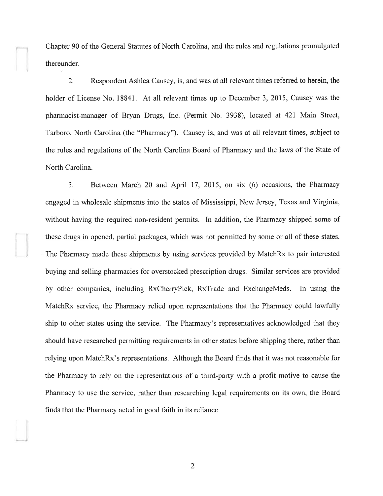Chapter 90 of the General Statutes of North Carolina, and the rules and regulations promulgated thereunder.

2. Respondent Ashlea Causey, is, and was at all relevant times referred to herein, the holder of License No. 18841. At all relevant times up to December 3, 2015, Causey was the pharmacist-manager of Bryan Drugs, Inc. (Permit No. 3938), located at 421 Main Street, Tarboro, North Carolina (the "Pharmacy"). Causey is, and was at all relevant times, subject to the rules and regulations of the North Carolina Board of Pharmacy and the laws of the State of North Carolina.

3. Between March 20 and April 17, 2015, on six (6) occasions, the Pharmacy engaged in wholesale shipments into the states of Mississippi, New Jersey, Texas and Virginia, without having the required non-resident permits. In addition, the Pharmacy shipped some of these drugs in opened, partial packages, which was not permitted by some or all of these states. The Pharmacy made these shipments by using services provided by MatchRx to pair interested buying and selling pharmacies for overstocked piescription drugs. Similar services are provided by other companies, including RxCherryPick, RxTrade and ExchangeMeds. In using the MatchRx service, the Pharmacy relied upon reprssentations that the Pharmacy could lawfully ship to other states using the service. The Pharmacy's representatives acknowledged that they should have researched permitting requirements in other states before shipping there, rather than relying upon MatchRx's representations. Although the Board finds that it was not reasonable for the Pharmacy to rely on the representations of a third-party with a profit motive to cause the Pharmacy to use the service, rather than researching legal requirements on its own, the Board finds that the Pharmacy acted in good faith in its reliance.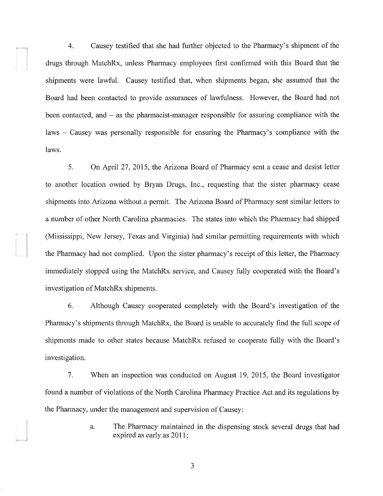4. Causey testified that she had further objected to the Pharmacy's shipment of the drugs through MatchRx, unless Pharmacy employees first confirmed with this Board that the shipments were lawful. Causey testified that, when shipments began, she assumed that the Board had been contacted to provide assurances of lawfulness. However, the Board had not been contacted, and  $-$  as the pharmacist-manager responsible for assuring compliance with the laws - Causey was personally responsible for ensuring the Pharmacy's compliance with the laws.

5. On April 27 , 2015, the Arizona Board of Pharmacy sent a cease and desist letter to another location owned by Bryan Drugs, Inc., requesting that the sister pharmacy cease shipments into Arizona without a permit. The Arizona Board of Pharmacy sent similar letters to a number of other North Carolina pharmacies. The states into which the Pharmacy had shipped (Mississippi, New Jersey, Texas and Virginia) had similar permitting requirements with which the Pharmacy had not complied. Upon the sister pharmacy's receipt of this letter, the Pharmacy immediately stopped using the MatchRx service, and Causey fully cooperated with the Board's investigation of MatchRx shipments.

6. Although Causey cooperated completely with the Board's investigation of the Pharmacy's shipments through MatchRx, the Board is unable to accurately find the full scope of shipments made to other states because MatchRx refused to cooperate fully with the Board's investigation.

7. 'When an inspection was conducted on August 19,2015, the Board investigator found a number of violations of the North Carolina Pharmacy Practice Act and its regulations by the Pharmacy, under the management and supervision of Causey:

> a. The Pharmacy maintained in the dispensing stock several drugs that had expired as early as 2011;

> > a J

I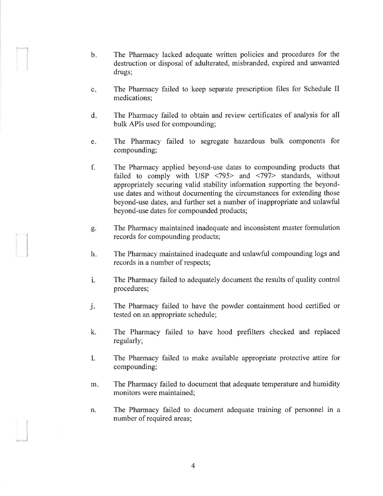- b. The Pharmacy lacked adequate written policies and procedures for the destruction or disposal of adulterated, misbranded, expired and unwanted drugs;
- The Pharmacy failed to keep separate prescription files for Schedule II medications; c
- The Pharmacy failed to obtain and review certificates of analysis for all bulk APIs used for compounding; d
- The Pharmacy failed to segregate hazardous bulk components for compounding; e
- The Pharmacy applied beyond-use dates to compounding products that failed to comply with USP <795> and <797> standards, without appropriately securing valid stability information supporting the beyonduse dates and without documenting the circumstances for extending those beyond-use dates, and further set a number of inappropriate and unlawful beyond-use dates for compounded products; f.
- The Pharmacy maintained inadequate and inconsistent master formulation records for compounding products; o Þ.
- The Pharmacy maintained inadequate and unlawful compounding logs and records in a number of respects; h
- i. The Pharmacy failed to adequately document the results of quality control procedures;
- The Pharmacy failed to have the powder containment hood certified or tested on an appropriate schedule; j.
- k. The Pharmacy failed to have hood prefilters checked and replaced regularly;
- L. The Pharmacy failed to make available appropriate protective attire for compounding;
- The Pharmacy failed to document that adequate temperature and humidity monitors were maintained; m.
- The Pharmacy failed to document adequate training of personnel in <sup>a</sup> number of required areas; n.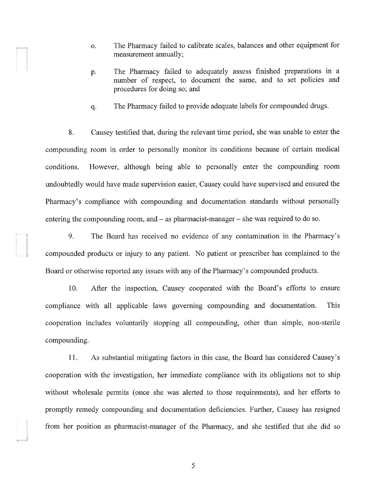The Pharmacy failed to calibrate scales, balances and other equipment for measurement annually; o.

I

I

- The Pharmacy failed to adequately assess finished preparations in <sup>a</sup> number of respect, to document the same, and to set policies and procedures for doing so; and p.
- q. The Pharmacy failed to provide adequate labels for compounded drugs.

8. Causey testified that, during the relevant time period, she was unable to enter the compounding room in order to personally monitor its conditions because of certain medical conditions. However, although being able to personally enter the compounding room undoubtedly would have made supervision easier, Causey could have supervised and ensured the Pharmacy's compliance with compounding and documentation standards without personally entering the compounding room, and  $-$  as pharmacist-manager  $-$  she was required to do so.

9. The Board has received no evidence of any contamination in the Pharmacy's compounded products or injury to any patient. No patient or prescriber has complained to the Board or otherwise reported any issues with any of the Pharmacy's compounded products.

10. After the inspection, Causey cooperated with the Board's efforts to ensure compliance with all applicable laws governing compounding and documentation. This cooperation includes voluntarily stopping all compounding, other than simple, non-sterile compounding.

11. As substantial mitigating factors in this case, the Board has considered Causey's cooperation with the investigation, her immediate compliance with its obligations not to ship without wholesale permits (once she was alerted to those requirements), and her efforts to promptly remedy compounding and documentation deficiencies. Further, Causey has resigned from her position as pharmacist-manager of the Pharmacy, and she testified that she did so

5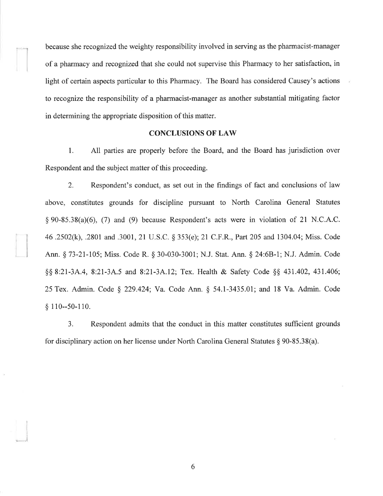because she recognized the weighty responsibility involved in serving as the pharmacist-manager of a pharmacy and recognized that she could not supervise this Pharmacy to her satisfaction, in light of certain aspects particular to this Pharmacy. The Board has considered Causey's actions to recognize the responsibility of a pharmacist-manager as another substantial mitigating factor in determining the appropriate disposition of this matter.

't

I

#### CONCLUSIONS OF LAW

l. All parties are properly before the Board, and the Board has jurisdiction over Respondent and the subject matter of this proceeding.

2. Respondent's conduct, as set out in the findings of fact and conclusions of law above, constitutes grounds for discipline pursuant to North Carolina General Statutes  $\S 90-85.38(a)(6)$ , (7) and (9) because Respondent's acts were in violation of 21 N.C.A.C. 46 .2502(k), .2801 and .3001, 21 U.S.C. \$ 353(e); 21 C.F.R., Part205 and 1304.04; Miss. Code Ann. § 73-21-105; Miss. Code R. § 30-030-3001; N.J. Stat. Ann. § 24:6B-1; N.J. Admin. Code \$\$ 8:21-3A.4,8:21-3A.5 and 8:21-34.12; Tex. Health & Safety Code \$\$ 431.402,431.406; 25Tex. Admin. Code \$ 229.424; Va. Code Ann. \$ 54.1-3435.01; and 18 Va. Admin. Code \$ 110--50-110.

3. Respondent admits that the conduct in this matter constitutes suffrcient grounds for disciplinary action on her license under North Carolina General Statutes  $\S 90-85.38(a)$ .

6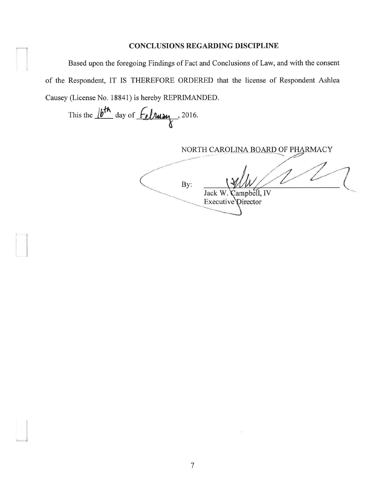# **CONCLUSIONS REGARDING DISCIPLINE**

Based upon the foregoing Findings of Fact and Conclusions of Law, and with the consent of the Respondent, IT IS THEREFORE ORDERED that the license of Respondent Ashlea Causey (License No. 18841) is hereby REPRIMANDED.

This the  $/b^{th}$  day of  $f_{el}$   $\mu$   $\lambda$ , 2016.

NORTH CAROLINA BOARD OF PHARMACY

By: ampbell, IV Jack W. Executive Director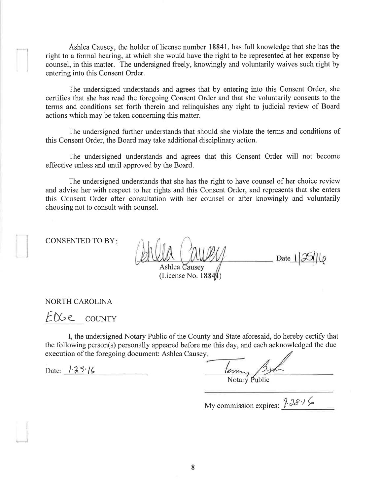Ashlea Causey, the holder of license number 18841, has full knowledge that she has the right to a formal hearing, at which she would have the right to be represented at her expense by counsel, in this matter. The undersigned freely, knowingly and voluntarily waives such right by entering into this Consent Order.

The undersigned understands and agrees that by entering into this Consent Order, she certifies that she has read the foregoing Consent Order and that she voluntarily consents to the terms and conditions set forth therein and relinquishes any right to judicial review of Board actions which may be taken concerning this matter.

The undersigned further understands that should she violate the terms and conditions of this Consent Order, the Board may take additional disciplinary action.

The undersigned understands and agrees that this Consent Order will not become effective unless and until approved by the Board.

The undersigned understands that she has the right to have counsel of her choice review and advise her with respect to her rights and this Consent Order, and represents that she enters this Consent Order after consultation with her counsel or after knowingly and voluntarily choosing not to consult with counsel.

CONSENTED TO BY

I

 Date  $\frac{1}{5}$ llo Ashlea Causev

(License No.  $1884/1$ )

NORTH CAROLINA

LA-< COLINTY

I, the undersigned Notary Public of the County and State aforesaid, do hereby certify that the following person(s) personally appeared before me this day, and each acknowledged the due execution of the foregoing document: Ashlea Causey

Date:  $l \cdot \lambda 5$ '/ $\epsilon$ 

.¡

Notary Public

My commission expires:  $? 38$